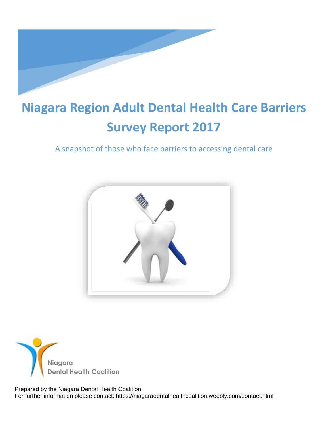

# **Niagara Region Adult Dental Health Care Barriers Survey Report 2017**

# A snapshot of those who face barriers to accessing dental care





 Prepared by the Niagara Dental Health Coalition For further information please contact: https://niagaradentalhealthcoalition.weebly.com/contact.html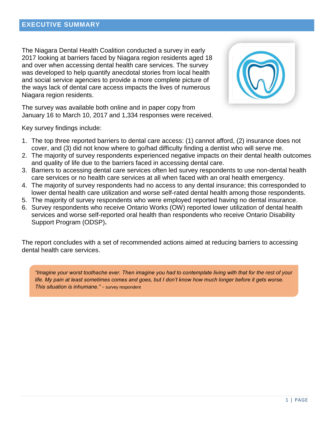The Niagara Dental Health Coalition conducted a survey in early 2017 looking at barriers faced by Niagara region residents aged 18 and over when accessing dental health care services. The survey was developed to help quantify anecdotal stories from local health and social service agencies to provide a more complete picture of the ways lack of dental care access impacts the lives of numerous Niagara region residents.



The survey was available both online and in paper copy from January 16 to March 10, 2017 and 1,334 responses were received.

Key survey findings include:

- 1. The top three reported barriers to dental care access: (1) cannot afford, (2) insurance does not cover, and (3) did not know where to go/had difficulty finding a dentist who will serve me.
- 2. The majority of survey respondents experienced negative impacts on their dental health outcomes and quality of life due to the barriers faced in accessing dental care.
- 3. Barriers to accessing dental care services often led survey respondents to use non-dental health care services or no health care services at all when faced with an oral health emergency.
- 4. The majority of survey respondents had no access to any dental insurance; this corresponded to lower dental health care utilization and worse self-rated dental health among those respondents.
- 5. The majority of survey respondents who were employed reported having no dental insurance.
- 6. Survey respondents who receive Ontario Works (OW) reported lower utilization of dental health services and worse self-reported oral health than respondents who receive Ontario Disability Support Program (ODSP)**.**

The report concludes with a set of recommended actions aimed at reducing barriers to accessing dental health care services.

*"Imagine your worst toothache ever. Then imagine you had to contemplate living with that for the rest of your life. My pain at least sometimes comes and goes, but I don't know how much longer before it gets worse. This situation is inhumane."* ~ survey respondent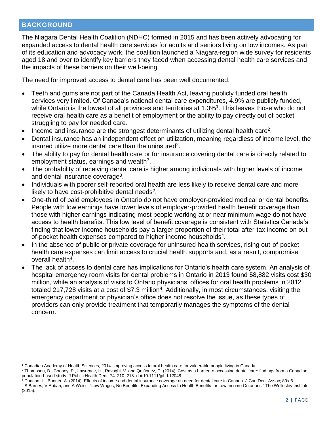#### **BACKGROUND**

 $\overline{a}$ 

The Niagara Dental Health Coalition (NDHC) formed in 2015 and has been actively advocating for expanded access to dental health care services for adults and seniors living on low incomes. As part of its education and advocacy work, the coalition launched a Niagara-region wide survey for residents aged 18 and over to identify key barriers they faced when accessing dental health care services and the impacts of these barriers on their well-being.

The need for improved access to dental care has been well documented:

- Teeth and gums are not part of the Canada Health Act, leaving publicly funded oral health services very limited. Of Canada's national dental care expenditures, 4.9% are publicly funded, while Ontario is the lowest of all provinces and territories at 1.3%<sup>1</sup>. This leaves those who do not receive oral health care as a benefit of employment or the ability to pay directly out of pocket struggling to pay for needed care.
- $\bullet$  Income and insurance are the strongest determinants of utilizing dental health care<sup>2</sup>.
- Dental insurance has an independent effect on utilization, meaning regardless of income level, the insured utilize more dental care than the uninsured<sup>2</sup>.
- The ability to pay for dental health care or for insurance covering dental care is directly related to employment status, earnings and wealth<sup>3</sup>.
- The probability of receiving dental care is higher among individuals with higher levels of income and dental insurance coverage<sup>3</sup>.
- Individuals with poorer self-reported oral health are less likely to receive dental care and more likely to have cost-prohibitive dental needs<sup>2</sup>.
- One-third of paid employees in Ontario do not have employer-provided medical or dental benefits. People with low earnings have lower levels of employer-provided health benefit coverage than those with higher earnings indicating most people working at or near minimum wage do not have access to health benefits. This low level of benefit coverage is consistent with Statistics Canada's finding that lower income households pay a larger proportion of their total after-tax income on outof-pocket health expenses compared to higher income households<sup>4</sup>.
- In the absence of public or private coverage for uninsured health services, rising out-of-pocket health care expenses can limit access to crucial health supports and, as a result, compromise overall health<sup>4</sup>.
- The lack of access to dental care has implications for Ontario's health care system. An analysis of hospital emergency room visits for dental problems in Ontario in 2013 found 58,882 visits cost \$30 million, while an analysis of visits to Ontario physicians' offices for oral health problems in 2012 totaled 217,728 visits at a cost of \$7.3 million<sup>4</sup>. Additionally, in most circumstances, visiting the emergency department or physician's office does not resolve the issue, as these types of providers can only provide treatment that temporarily manages the symptoms of the dental concern.

<sup>1</sup> Canadian Academy of Health Sciences, 2014. Improving access to oral health care for vulnerable people living in Canada.

<sup>&</sup>lt;sup>2</sup> Thompson, B., Cooney, P., Lawrence, H., Ravaghi, V. and Quiñonez, C. (2014). Cost as a barrier to accessing dental care: findings from a Canadian population-based study. J Public Health Dent, 74: 210–218. doi:10.1111/jphd.12048

<sup>&</sup>lt;sup>3</sup> Duncan, L., Bonner, A. (2014). Effects of income and dental insurance coverage on need for dental care in Canada. J Can Dent Assoc; 80:e6

<sup>&</sup>lt;sup>4</sup> S Barnes, V Abban, and A Weiss, "Low Wages, No Benefits: Expanding Access to Health Benefits for Low Income Ontarians," The Wellesley Institute (2015).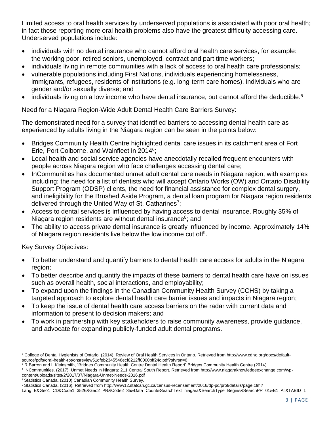Limited access to oral health services by underserved populations is associated with poor oral health; in fact those reporting more oral health problems also have the greatest difficulty accessing care. Underserved populations include:

- individuals with no dental insurance who cannot afford oral health care services, for example: the working poor, retired seniors, unemployed, contract and part time workers;
- individuals living in remote communities with a lack of access to oral health care professionals;
- vulnerable populations including First Nations, individuals experiencing homelessness, immigrants, refugees, residents of institutions (e.g. long-term care homes), individuals who are gender and/or sexually diverse; and
- $\bullet$  individuals living on a low income who have dental insurance, but cannot afford the deductible.<sup>5</sup>

## Need for a Niagara Region-Wide Adult Dental Health Care Barriers Survey:

The demonstrated need for a survey that identified barriers to accessing dental health care as experienced by adults living in the Niagara region can be seen in the points below:

- Bridges Community Health Centre highlighted dental care issues in its catchment area of Fort Erie, Port Colborne, and Wainfleet in 2014<sup>6</sup>;
- Local health and social service agencies have anecdotally recalled frequent encounters with people across Niagara region who face challenges accessing dental care;
- InCommunities has documented unmet adult dental care needs in Niagara region, with examples including: the need for a list of dentists who will accept Ontario Works (OW) and Ontario Disability Support Program (ODSP) clients, the need for financial assistance for complex dental surgery, and ineligibility for the Brushed Aside Program, a dental loan program for Niagara region residents delivered through the United Way of St. Catharines<sup>7</sup>;
- Access to dental services is influenced by having access to dental insurance. Roughly 35% of Niagara region residents are without dental insurance<sup>8</sup>; and
- The ability to access private dental insurance is greatly influenced by income. Approximately 14% of Niagara region residents live below the low income cut off<sup>9</sup>.

## Key Survey Objectives:

- To better understand and quantify barriers to dental health care access for adults in the Niagara region;
- To better describe and quantify the impacts of these barriers to dental health care have on issues such as overall health, social interactions, and employability;
- To expand upon the findings in the Canadian Community Health Survey (CCHS) by taking a targeted approach to explore dental health care barrier issues and impacts in Niagara region;
- To keep the issue of dental health care access barriers on the radar with current data and information to present to decision makers; and
- To work in partnership with key stakeholders to raise community awareness, provide guidance, and advocate for expanding publicly-funded adult dental programs.

content/uploads/sites/2/2017/07/Niagara-Unmet-Needs-2016.pdf

 $\overline{a}$ <sup>5</sup> College of Dental Hygienists of Ontario. (2014). Review of Oral Health Services in Ontario. Retrieved from http://www.cdho.org/docs/defaultsource/pdfs/oral-health-rpt/ohsreview51dfeb2345546ecf8212ff0000bff24c.pdf?sfvrsn=6

<sup>&</sup>lt;sup>6</sup> R Barron and L Kleinsmith, "Bridges Community Health Centre Dental Health Report" Bridges Community Health Centre (2014).

<sup>7</sup> INCommunities. (2017). Unmet Needs in Niagara: 211 Central South Report. Retrieved from http://www.niagaraknowledgeexchange.com/wp-

<sup>8</sup> Statistics Canada. (2010) Canadian Community Health Survey.

<sup>9</sup> Statistics Canada. (2016). Retrieved from http://www12.statcan.gc.ca/census-recensement/2016/dp-pd/prof/details/page.cfm?

Lang=E&Geo1=CD&Code1=3526&Geo2=PR&Code2=35&Data=Count&SearchText=niagara&SearchType=Begins&SearchPR=01&B1=All&TABID=1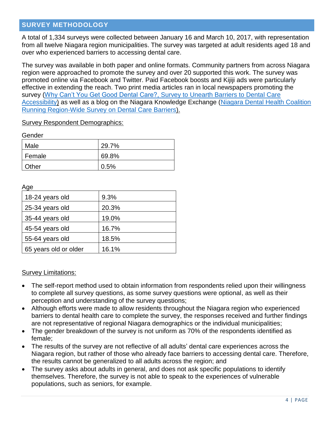#### **SURVEY METHODOLOGY**

A total of 1,334 surveys were collected between January 16 and March 10, 2017, with representation from all twelve Niagara region municipalities. The survey was targeted at adult residents aged 18 and over who experienced barriers to accessing dental care.

The survey was available in both paper and online formats. Community partners from across Niagara region were approached to promote the survey and over 20 supported this work. The survey was promoted online via Facebook and Twitter. Paid Facebook boosts and Kijiji ads were particularly effective in extending the reach. Two print media articles ran in local newspapers promoting the survey [\(Why Can't You Get Good Dental Care?,](http://www.stcatharinesstandard.ca/2017/01/17/survey-why-cant-you-get-good-dental-care) [Survey to Unearth Barriers to Dental Care](http://www.gottarent.com/news-story/7073281-survey-to-unearth-barriers-to-dental-care-accessibility)  [Accessibility\)](http://www.gottarent.com/news-story/7073281-survey-to-unearth-barriers-to-dental-care-accessibility) as well as a blog on the Niagara Knowledge Exchange (Niagara Dental Health Coalition [Running Region-Wide Survey](http://www.niagaraknowledgeexchange.com/community-blog/niagara-dental-health-coalition-region-wide-survey/) on Dental Care Barriers).

#### Survey Respondent Demographics:

Gender

| Male   | 29.7% |
|--------|-------|
| Female | 69.8% |
| Other  | 0.5%  |

Age

| 18-24 years old       | 9.3%  |
|-----------------------|-------|
| 25-34 years old       | 20.3% |
| 35-44 years old       | 19.0% |
| 45-54 years old       | 16.7% |
| 55-64 years old       | 18.5% |
| 65 years old or older | 16.1% |

Survey Limitations:

- The self-report method used to obtain information from respondents relied upon their willingness to complete all survey questions, as some survey questions were optional, as well as their perception and understanding of the survey questions;
- Although efforts were made to allow residents throughout the Niagara region who experienced barriers to dental health care to complete the survey, the responses received and further findings are not representative of regional Niagara demographics or the individual municipalities;
- The gender breakdown of the survey is not uniform as 70% of the respondents identified as female;
- The results of the survey are not reflective of all adults' dental care experiences across the Niagara region, but rather of those who already face barriers to accessing dental care. Therefore, the results cannot be generalized to all adults across the region; and
- The survey asks about adults in general, and does not ask specific populations to identify themselves. Therefore, the survey is not able to speak to the experiences of vulnerable populations, such as seniors, for example.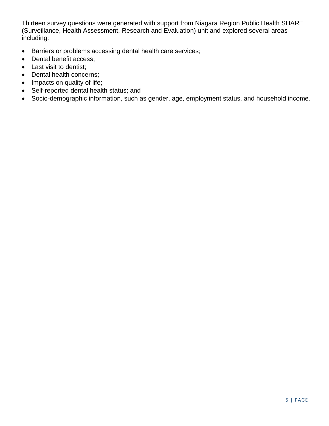Thirteen survey questions were generated with support from Niagara Region Public Health SHARE (Surveillance, Health Assessment, Research and Evaluation) unit and explored several areas including:

- Barriers or problems accessing dental health care services;
- Dental benefit access;
- Last visit to dentist;
- Dental health concerns;
- Impacts on quality of life;
- Self-reported dental health status; and
- Socio-demographic information, such as gender, age, employment status, and household income.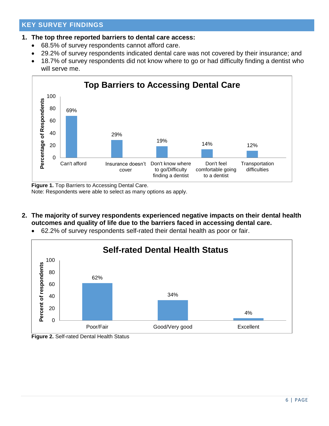# **KEY SURVEY FINDINGS**

#### **1. The top three reported barriers to dental care access:**

- 68.5% of survey respondents cannot afford care.
- 29.2% of survey respondents indicated dental care was not covered by their insurance; and
- 18.7% of survey respondents did not know where to go or had difficulty finding a dentist who will serve me.



**Figure 1.** Top Barriers to Accessing Dental Care.

Note: Respondents were able to select as many options as apply.

- **2. The majority of survey respondents experienced negative impacts on their dental health outcomes and quality of life due to the barriers faced in accessing dental care.**
	- 62.2% of survey respondents self-rated their dental health as poor or fair.



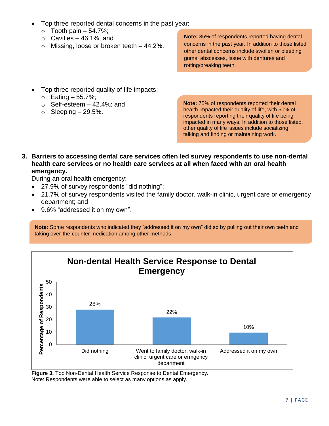- Top three reported dental concerns in the past year:
	- $\circ$  Tooth pain 54.7%;
	- $\circ$  Cavities 46.1%; and
	- $\circ$  Missing, loose or broken teeth  $-44.2\%$ .

**Note:** 85% of respondents reported having dental concerns in the past year. In addition to those listed other dental concerns include swollen or bleeding gums, abscesses, issue with dentures and rotting/breaking teeth.

- Top three reported quality of life impacts:
	- $\circ$  Eating  $-55.7\%$ ;
	- $\circ$  Self-esteem  $-$  42.4%; and
	- $\circ$  Sleeping 29.5%.

**Note:** 75% of respondents reported their dental health impacted their quality of life, with 50% of respondents reporting their quality of life being impacted in many ways. In addition to those listed, other quality of life issues include socializing, talking and finding or maintaining work.

**3. Barriers to accessing dental care services often led survey respondents to use non-dental health care services or no health care services at all when faced with an oral health emergency.**

During an oral health emergency:

- 27.9% of survey respondents "did nothing";
- 21.7% of survey respondents visited the family doctor, walk-in clinic, urgent care or emergency department; and
- 9.6% "addressed it on my own".

**Note:** Some respondents who indicated they "addressed it on my own" did so by pulling out their own teeth and taking over-the-counter medication among other methods.



**Figure 3.** Top Non-Dental Health Service Response to Dental Emergency. Note: Respondents were able to select as many options as apply.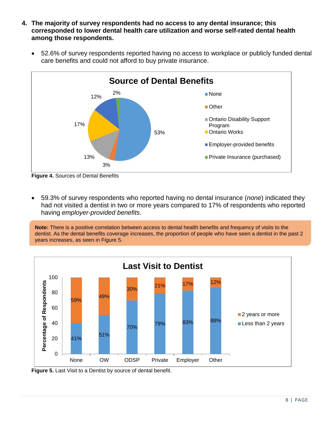- **4. The majority of survey respondents had no access to any dental insurance; this corresponded to lower dental health care utilization and worse self-rated dental health among those respondents.** 
	- 52.6% of survey respondents reported having no access to workplace or publicly funded dental care benefits and could not afford to buy private insurance.



**Figure 4.** Sources of Dental Benefits

 59.3% of survey respondents who reported having no dental insurance (*none*) indicated they had not visited a dentist in two or more years compared to 17% of respondents who reported having *employer-provided benefits*.

**Note:** There is a positive correlation between access to dental health benefits and frequency of visits to the dentist. As the dental benefits coverage increases, the proportion of people who have seen a dentist in the past 2 years increases, as seen in Figure 5.



**Figure 5.** Last Visit to a Dentist by source of dental benefit.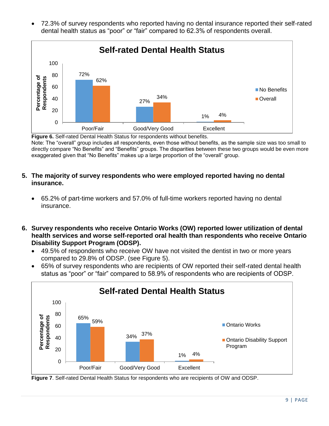72.3% of survey respondents who reported having no dental insurance reported their self-rated dental health status as "poor" or "fair" compared to 62.3% of respondents overall.



**Figure 6.** Self-rated Dental Health Status for respondents without benefits. Note: The "overall" group includes all respondents, even those without benefits, as the sample size was too small to directly compare "No Benefits" and "Benefits" groups. The disparities between these two groups would be even more exaggerated given that "No Benefits" makes up a large proportion of the "overall" group.

#### **5. The majority of survey respondents who were employed reported having no dental insurance.**

- 65.2% of part-time workers and 57.0% of full-time workers reported having no dental insurance.
- **6. Survey respondents who receive Ontario Works (OW) reported lower utilization of dental health services and worse self-reported oral health than respondents who receive Ontario Disability Support Program (ODSP).** 
	- 49.5% of respondents who receive OW have not visited the dentist in two or more years compared to 29.8% of ODSP. (see Figure 5).
	- 65% of survey respondents who are recipients of OW reported their self-rated dental health status as "poor" or "fair" compared to 58.9% of respondents who are recipients of ODSP.



**Figure 7**. Self-rated Dental Health Status for respondents who are recipients of OW and ODSP.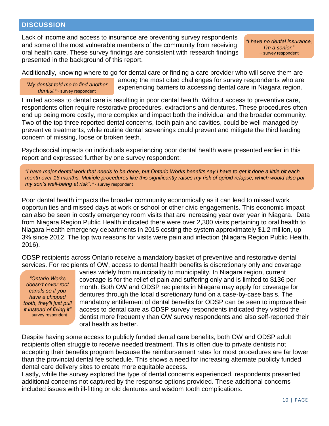#### **DISCUSSION**

Lack of income and access to insurance are preventing survey respondents and some of the most vulnerable members of the community from receiving oral health care. These survey findings are consistent with research findings presented in the background of this report.

*"I have no dental insurance, I'm a senior.*" ~ survey respondent

Additionally, knowing where to go for dental care or finding a care provider who will serve them are

*"My dentist told me to find another dentist* "~ survey respondent

among the most cited challenges for survey respondents who are experiencing barriers to accessing dental care in Niagara region.

Limited access to dental care is resulting in poor dental health. Without access to preventive care, respondents often require restorative procedures, extractions and dentures. These procedures often end up being more costly, more complex and impact both the individual and the broader community. Two of the top three reported dental concerns, tooth pain and cavities, could be well managed by preventive treatments, while routine dental screenings could prevent and mitigate the third leading concern of missing, loose or broken teeth.

Psychosocial impacts on individuals experiencing poor dental health were presented earlier in this report and expressed further by one survey respondent:

*"I have major dental work that needs to be done, but Ontario Works benefits say I have to get it done a little bit each month over 16 months. Multiple procedures like this significantly raises my risk of opioid relapse, which would also put my son's well-being at risk"*. "~ survey respondent

Poor dental health impacts the broader community economically as it can lead to missed work opportunities and missed days at work or school or other civic engagements. This economic impact can also be seen in costly emergency room visits that are increasing year over year in Niagara. Data from Niagara Region Public Health indicated there were over 2,300 visits pertaining to oral health to Niagara Health emergency departments in 2015 costing the system approximately \$1.2 million, up 3% since 2012. The top two reasons for visits were pain and infection (Niagara Region Public Health, 2016).

ODSP recipients across Ontario receive a mandatory basket of preventive and restorative dental services. For recipients of OW, access to dental health benefits is discretionary only and coverage

*"Ontario Works doesn't cover root canals so if you have a chipped tooth, they'll just pull it instead of fixing it"* ~ survey respondent

varies widely from municipality to municipality. In Niagara region, current coverage is for the relief of pain and suffering only and is limited to \$136 per month. Both OW and ODSP recipients in Niagara may apply for coverage for dentures through the local discretionary fund on a case-by-case basis. The mandatory entitlement of dental benefits for ODSP can be seen to improve their access to dental care as ODSP survey respondents indicated they visited the dentist more frequently than OW survey respondents and also self-reported their oral health as better.

Despite having some access to publicly funded dental care benefits, both OW and ODSP adult recipients often struggle to receive needed treatment. This is often due to private dentists not accepting their benefits program because the reimbursement rates for most procedures are far lower than the provincial dental fee schedule. This shows a need for increasing alternate publicly funded dental care delivery sites to create more equitable access.

Lastly, while the survey explored the type of dental concerns experienced, respondents presented additional concerns not captured by the response options provided. These additional concerns included issues with ill-fitting or old dentures and wisdom tooth complications.